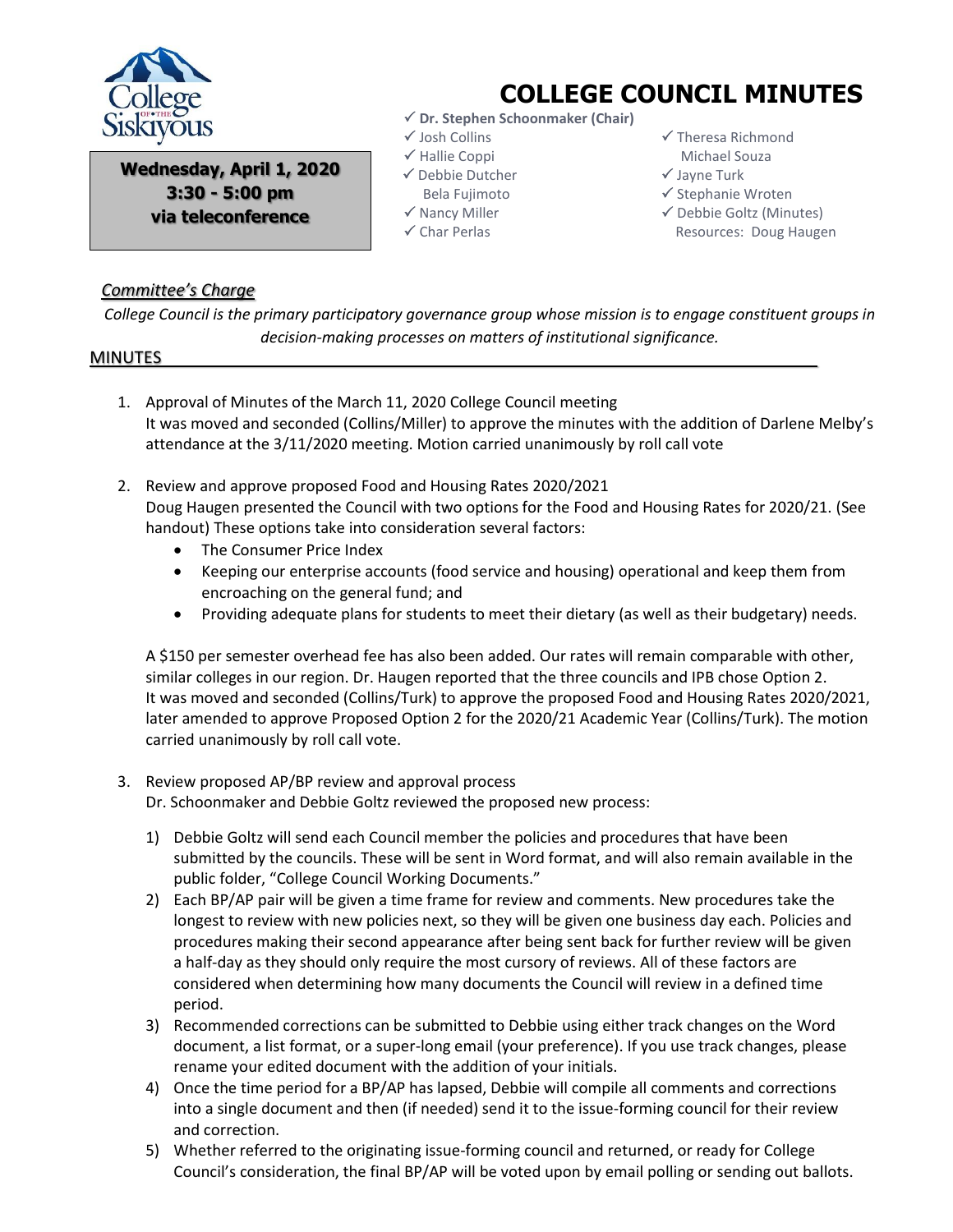

**Wednesday, April 1, 2020 3:30 - 5:00 pm via teleconference**

## **COLLEGE COUNCIL MINUTES**

- **Dr. Stephen Schoonmaker (Chair)**
- $\checkmark$  Josh Collins
- $\checkmark$  Hallie Coppi
- Debbie Dutcher
- Bela Fujimoto
- $\checkmark$  Nancy Miller
- $\checkmark$  Char Perlas
- $\checkmark$  Theresa Richmond Michael Souza
- $\checkmark$  Jayne Turk
- $\checkmark$  Stephanie Wroten
- $\checkmark$  Debbie Goltz (Minutes) Resources: Doug Haugen

## *Committee's Charge*

*College Council is the primary participatory governance group whose mission is to engage constituent groups in decision-making processes on matters of institutional significance.*

## MINUTES

- 1. Approval of Minutes of the March 11, 2020 College Council meeting It was moved and seconded (Collins/Miller) to approve the minutes with the addition of Darlene Melby's attendance at the 3/11/2020 meeting. Motion carried unanimously by roll call vote
- 2. Review and approve proposed Food and Housing Rates 2020/2021 Doug Haugen presented the Council with two options for the Food and Housing Rates for 2020/21. (See handout) These options take into consideration several factors:
	- The Consumer Price Index
	- Keeping our enterprise accounts (food service and housing) operational and keep them from encroaching on the general fund; and
	- Providing adequate plans for students to meet their dietary (as well as their budgetary) needs.

A \$150 per semester overhead fee has also been added. Our rates will remain comparable with other, similar colleges in our region. Dr. Haugen reported that the three councils and IPB chose Option 2. It was moved and seconded (Collins/Turk) to approve the proposed Food and Housing Rates 2020/2021, later amended to approve Proposed Option 2 for the 2020/21 Academic Year (Collins/Turk). The motion carried unanimously by roll call vote.

3. Review proposed AP/BP review and approval process

Dr. Schoonmaker and Debbie Goltz reviewed the proposed new process:

- 1) Debbie Goltz will send each Council member the policies and procedures that have been submitted by the councils. These will be sent in Word format, and will also remain available in the public folder, "College Council Working Documents."
- 2) Each BP/AP pair will be given a time frame for review and comments. New procedures take the longest to review with new policies next, so they will be given one business day each. Policies and procedures making their second appearance after being sent back for further review will be given a half-day as they should only require the most cursory of reviews. All of these factors are considered when determining how many documents the Council will review in a defined time period.
- 3) Recommended corrections can be submitted to Debbie using either track changes on the Word document, a list format, or a super-long email (your preference). If you use track changes, please rename your edited document with the addition of your initials.
- 4) Once the time period for a BP/AP has lapsed, Debbie will compile all comments and corrections into a single document and then (if needed) send it to the issue-forming council for their review and correction.
- 5) Whether referred to the originating issue-forming council and returned, or ready for College Council's consideration, the final BP/AP will be voted upon by email polling or sending out ballots.